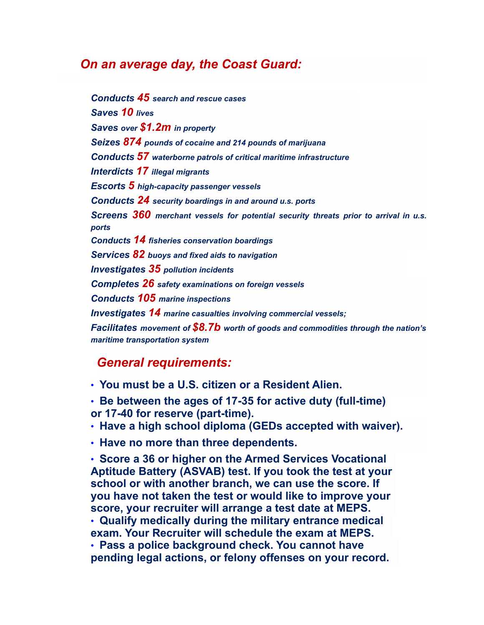## *On an average day, the Coast Guard:*

*Conducts 45 search and rescue cases Saves 10 lives Saves over \$1.2m in property Seizes 874 pounds of cocaine and 214 pounds of marijuana Conducts 57 waterborne patrols of critical maritime infrastructure Interdicts 17 illegal migrants Escorts 5 high-capacity passenger vessels Conducts 24 security boardings in and around u.s. ports Screens 360 merchant vessels for potential security threats prior to arrival in u.s. ports Conducts 14 fisheries conservation boardings Services 82 buoys and fixed aids to navigation Investigates 35 pollution incidents Completes 26 safety examinations on foreign vessels Conducts 105 marine inspections Investigates 14 marine casualties involving commercial vessels; Facilitates movement of \$8.7b worth of goods and commodities through the nation's maritime transportation system*

## *General requirements:*

• **You must be a U.S. citizen or a Resident Alien.**

• **Be between the ages of 17-35 for active duty (full-time) or 17-40 for reserve (part-time).**

- **Have a high school diploma (GEDs accepted with waiver).**
- **Have no more than three dependents.**

• **Score a 36 or higher on the Armed Services Vocational Aptitude Battery (ASVAB) test. If you took the test at your school or with another branch, we can use the score. If you have not taken the test or would like to improve your score, your recruiter will arrange a test date at MEPS.** • **Qualify medically during the military entrance medical exam. Your Recruiter will schedule the exam at MEPS.** • **Pass a police background check. You cannot have pending legal actions, or felony offenses on your record.**